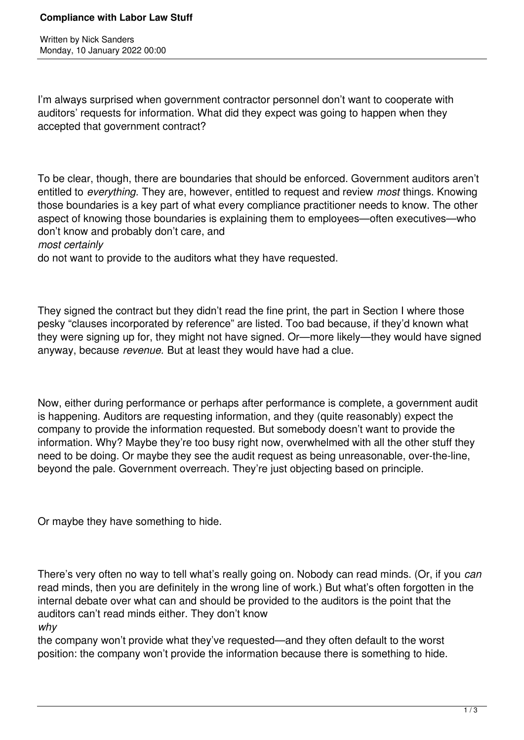Written by Nick Sanders Monday, 10 January 2022 00:00

I'm always surprised when government contractor personnel don't want to cooperate with auditors' requests for information. What did they expect was going to happen when they accepted that government contract?

To be clear, though, there are boundaries that should be enforced. Government auditors aren't entitled to *everything.* They are, however, entitled to request and review *most* things. Knowing those boundaries is a key part of what every compliance practitioner needs to know. The other aspect of knowing those boundaries is explaining them to employees—often executives—who don't know and probably don't care, and

*most certainly*

do not want to provide to the auditors what they have requested.

They signed the contract but they didn't read the fine print, the part in Section I where those pesky "clauses incorporated by reference" are listed. Too bad because, if they'd known what they were signing up for, they might not have signed. Or—more likely—they would have signed anyway, because *revenue.* But at least they would have had a clue.

Now, either during performance or perhaps after performance is complete, a government audit is happening. Auditors are requesting information, and they (quite reasonably) expect the company to provide the information requested. But somebody doesn't want to provide the information. Why? Maybe they're too busy right now, overwhelmed with all the other stuff they need to be doing. Or maybe they see the audit request as being unreasonable, over-the-line, beyond the pale. Government overreach. They're just objecting based on principle.

Or maybe they have something to hide.

There's very often no way to tell what's really going on. Nobody can read minds. (Or, if you *can* read minds, then you are definitely in the wrong line of work.) But what's often forgotten in the internal debate over what can and should be provided to the auditors is the point that the auditors can't read minds either. They don't know

*why*

the company won't provide what they've requested—and they often default to the worst position: the company won't provide the information because there is something to hide.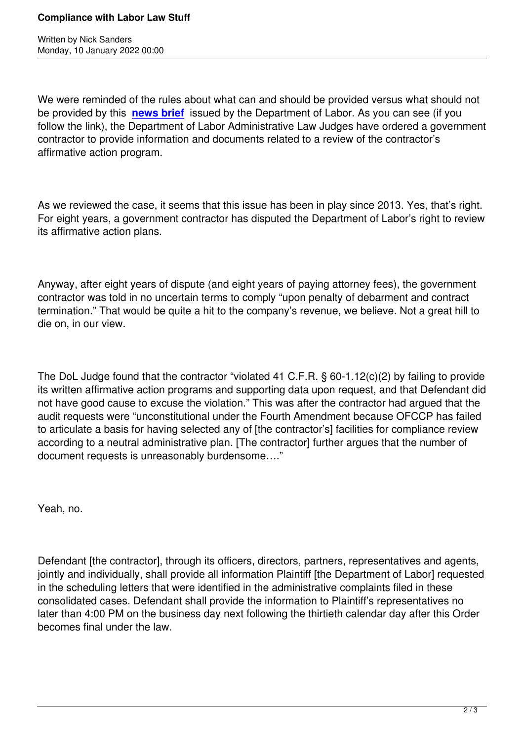Witten by Nick Sanders and Sanders and Sanders and Sanders and Sanders and Sanders and Sanders and Sanders and

We were reminded of the rules about what can and should be provided versus what should not be provided by this **news brief** issued by the Department of Labor. As you can see (if you follow the link), the Department of Labor Administrative Law Judges have ordered a government contractor to provide information and documents related to a review of the contractor's affirmative action pr[ogram.](https://www.dol.gov/newsroom/releases/ofccp/ofccp20220106)

As we reviewed the case, it seems that this issue has been in play since 2013. Yes, that's right. For eight years, a government contractor has disputed the Department of Labor's right to review its affirmative action plans.

Anyway, after eight years of dispute (and eight years of paying attorney fees), the government contractor was told in no uncertain terms to comply "upon penalty of debarment and contract termination." That would be quite a hit to the company's revenue, we believe. Not a great hill to die on, in our view.

The DoL Judge found that the contractor "violated 41 C.F.R. § 60-1.12(c)(2) by failing to provide its written affirmative action programs and supporting data upon request, and that Defendant did not have good cause to excuse the violation." This was after the contractor had argued that the audit requests were "unconstitutional under the Fourth Amendment because OFCCP has failed to articulate a basis for having selected any of [the contractor's] facilities for compliance review according to a neutral administrative plan. [The contractor] further argues that the number of document requests is unreasonably burdensome…."

Yeah, no.

Defendant [the contractor], through its officers, directors, partners, representatives and agents, jointly and individually, shall provide all information Plaintiff [the Department of Labor] requested in the scheduling letters that were identified in the administrative complaints filed in these consolidated cases. Defendant shall provide the information to Plaintiff's representatives no later than 4:00 PM on the business day next following the thirtieth calendar day after this Order becomes final under the law.